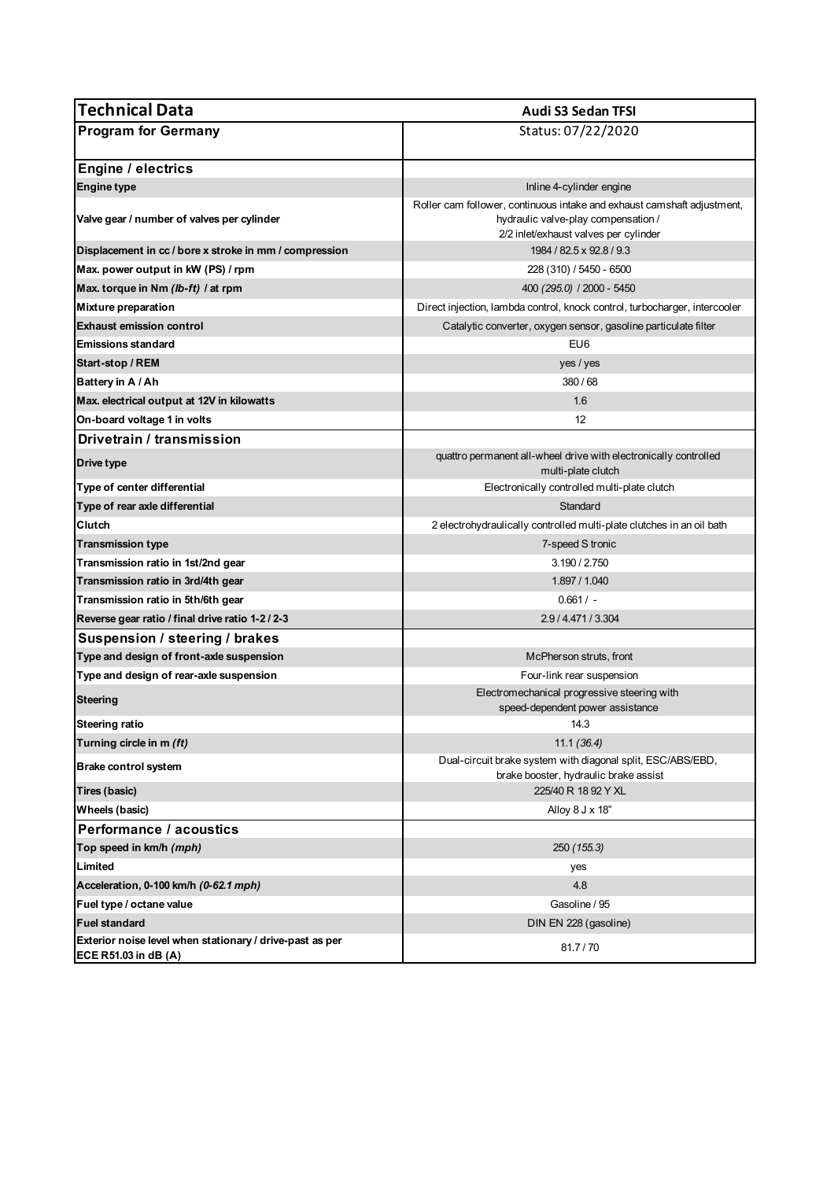| <b>Technical Data</b>                                                            | <b>Audi S3 Sedan TFSI</b>                                                                                                                               |
|----------------------------------------------------------------------------------|---------------------------------------------------------------------------------------------------------------------------------------------------------|
| <b>Program for Germany</b>                                                       | Status: 07/22/2020                                                                                                                                      |
| <b>Engine / electrics</b>                                                        |                                                                                                                                                         |
| <b>Engine type</b>                                                               | Inline 4-cylinder engine                                                                                                                                |
| Valve gear / number of valves per cylinder                                       | Roller cam follower, continuous intake and exhaust camshaft adjustment,<br>hydraulic valve-play compensation /<br>2/2 inlet/exhaust valves per cylinder |
| Displacement in cc / bore x stroke in mm / compression                           | 1984 / 82.5 x 92.8 / 9.3                                                                                                                                |
| Max. power output in kW (PS) / rpm                                               | 228 (310) / 5450 - 6500                                                                                                                                 |
| Max. torque in Nm (lb-ft) / at rpm                                               | 400 (295.0) / 2000 - 5450                                                                                                                               |
| <b>Mixture preparation</b>                                                       | Direct injection, lambda control, knock control, turbocharger, intercooler                                                                              |
| <b>Exhaust emission control</b>                                                  | Catalytic converter, oxygen sensor, gasoline particulate filter                                                                                         |
| <b>Emissions standard</b>                                                        | EU6                                                                                                                                                     |
| Start-stop / REM                                                                 | yes / yes                                                                                                                                               |
| Battery in A / Ah                                                                | 380/68                                                                                                                                                  |
| Max. electrical output at 12V in kilowatts                                       | 1.6                                                                                                                                                     |
| On-board voltage 1 in volts                                                      | 12                                                                                                                                                      |
| Drivetrain / transmission                                                        |                                                                                                                                                         |
| Drive type                                                                       | quattro permanent all-wheel drive with electronically controlled<br>multi-plate clutch                                                                  |
| Type of center differential                                                      | Electronically controlled multi-plate clutch                                                                                                            |
| Type of rear axle differential                                                   | Standard                                                                                                                                                |
| Clutch                                                                           | 2 electrohydraulically controlled multi-plate clutches in an oil bath                                                                                   |
| <b>Transmission type</b>                                                         | 7-speed S tronic                                                                                                                                        |
| Transmission ratio in 1st/2nd gear                                               | 3.190 / 2.750                                                                                                                                           |
| Transmission ratio in 3rd/4th gear                                               | 1.897 / 1.040                                                                                                                                           |
| Transmission ratio in 5th/6th gear                                               | $0.661/ -$                                                                                                                                              |
| Reverse gear ratio / final drive ratio 1-2 / 2-3                                 | 2.9 / 4.471 / 3.304                                                                                                                                     |
| Suspension / steering / brakes                                                   |                                                                                                                                                         |
| Type and design of front-axle suspension                                         | McPherson struts, front                                                                                                                                 |
| Type and design of rear-axle suspension                                          | Four-link rear suspension                                                                                                                               |
| <b>Steering</b>                                                                  | Electromechanical progressive steering with<br>speed-dependent power assistance                                                                         |
| <b>Steering ratio</b>                                                            | 14.3                                                                                                                                                    |
| Turning circle in m (ft)                                                         | 11.1(36.4)                                                                                                                                              |
| <b>Brake control system</b>                                                      | Dual-circuit brake system with diagonal split, ESC/ABS/EBD,<br>brake booster, hydraulic brake assist                                                    |
| <b>Tires (basic)</b>                                                             | 225/40 R 18 92 Y XL                                                                                                                                     |
| Wheels (basic)                                                                   | Alloy 8 J x 18"                                                                                                                                         |
| Performance / acoustics                                                          |                                                                                                                                                         |
| Top speed in km/h (mph)                                                          | 250 (155.3)                                                                                                                                             |
| Limited                                                                          | yes                                                                                                                                                     |
| Acceleration, 0-100 km/h (0-62.1 mph)                                            | 4.8                                                                                                                                                     |
| Fuel type / octane value                                                         | Gasoline / 95                                                                                                                                           |
| <b>Fuel standard</b>                                                             | DIN EN 228 (gasoline)                                                                                                                                   |
| Exterior noise level when stationary / drive-past as per<br>ECE R51.03 in dB (A) | 81.7/70                                                                                                                                                 |